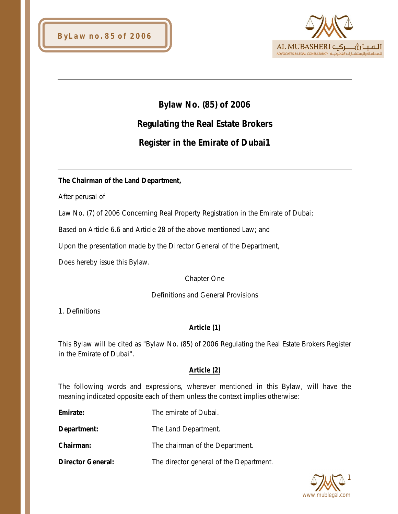

# **Bylaw No. (85) of 2006**

# **Regulating the Real Estate Brokers**

# **Register in the Emirate of Dubai1**

## **The Chairman of the Land Department,**

After perusal of

Law No. (7) of 2006 Concerning Real Property Registration in the Emirate of Dubai;

Based on Article 6.6 and Article 28 of the above mentioned Law; and

Upon the presentation made by the Director General of the Department,

Does hereby issue this Bylaw.

Chapter One

#### Definitions and General Provisions

1. Definitions

## **Article (1)**

This Bylaw will be cited as "Bylaw No. (85) of 2006 Regulating the Real Estate Brokers Register in the Emirate of Dubai".

#### **Article (2)**

The following words and expressions, wherever mentioned in this Bylaw, will have the meaning indicated opposite each of them unless the context implies otherwise:

**Emirate:** The emirate of Dubai.

**Department:** The Land Department.

**Chairman:** The chairman of the Department.

**Director General:** The director general of the Department.

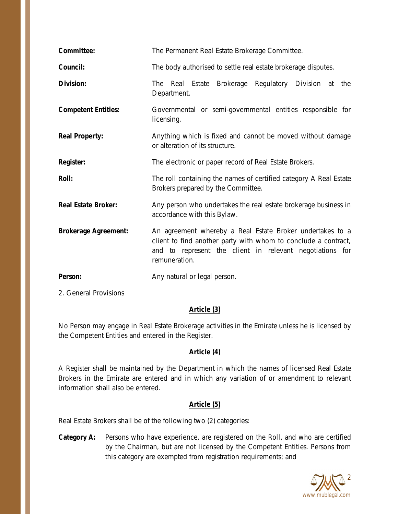| Committee:                  | The Permanent Real Estate Brokerage Committee.                                                                                                                                                           |
|-----------------------------|----------------------------------------------------------------------------------------------------------------------------------------------------------------------------------------------------------|
| Council:                    | The body authorised to settle real estate brokerage disputes.                                                                                                                                            |
| Division:                   | Estate Brokerage<br>Regulatory<br>Division at<br><b>The</b><br>Real<br>the<br>Department.                                                                                                                |
| <b>Competent Entities:</b>  | Governmental or semi-governmental entities responsible for<br>licensing.                                                                                                                                 |
| <b>Real Property:</b>       | Anything which is fixed and cannot be moved without damage<br>or alteration of its structure.                                                                                                            |
| <b>Register:</b>            | The electronic or paper record of Real Estate Brokers.                                                                                                                                                   |
| <b>Roll:</b>                | The roll containing the names of certified category A Real Estate<br>Brokers prepared by the Committee.                                                                                                  |
| <b>Real Estate Broker:</b>  | Any person who undertakes the real estate brokerage business in<br>accordance with this Bylaw.                                                                                                           |
| <b>Brokerage Agreement:</b> | An agreement whereby a Real Estate Broker undertakes to a<br>client to find another party with whom to conclude a contract,<br>and to represent the client in relevant negotiations for<br>remuneration. |
| Person:                     | Any natural or legal person.                                                                                                                                                                             |

2. General Provisions

## **Article (3)**

No Person may engage in Real Estate Brokerage activities in the Emirate unless he is licensed by the Competent Entities and entered in the Register.

# **Article (4)**

A Register shall be maintained by the Department in which the names of licensed Real Estate Brokers in the Emirate are entered and in which any variation of or amendment to relevant information shall also be entered.

# **Article (5)**

Real Estate Brokers shall be of the following two (2) categories:

**Category A:** Persons who have experience, are registered on the Roll, and who are certified by the Chairman, but are not licensed by the Competent Entities. Persons from this category are exempted from registration requirements; and

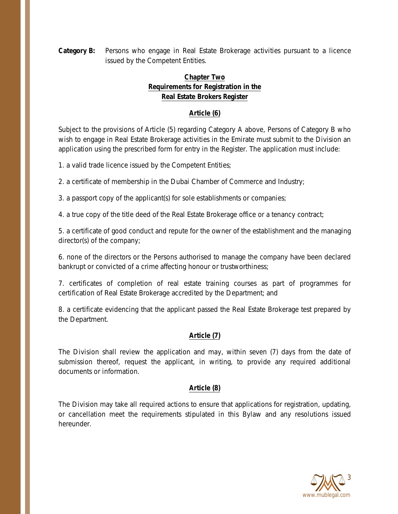**Category B:** Persons who engage in Real Estate Brokerage activities pursuant to a licence issued by the Competent Entities.

# **Chapter Two Requirements for Registration in the Real Estate Brokers Register**

# **Article (6)**

Subject to the provisions of Article (5) regarding Category A above, Persons of Category B who wish to engage in Real Estate Brokerage activities in the Emirate must submit to the Division an application using the prescribed form for entry in the Register. The application must include:

1. a valid trade licence issued by the Competent Entities;

2. a certificate of membership in the Dubai Chamber of Commerce and Industry;

3. a passport copy of the applicant(s) for sole establishments or companies;

4. a true copy of the title deed of the Real Estate Brokerage office or a tenancy contract;

5. a certificate of good conduct and repute for the owner of the establishment and the managing director(s) of the company;

6. none of the directors or the Persons authorised to manage the company have been declared bankrupt or convicted of a crime affecting honour or trustworthiness;

7. certificates of completion of real estate training courses as part of programmes for certification of Real Estate Brokerage accredited by the Department; and

8. a certificate evidencing that the applicant passed the Real Estate Brokerage test prepared by the Department.

# **Article (7)**

The Division shall review the application and may, within seven (7) days from the date of submission thereof, request the applicant, in writing, to provide any required additional documents or information.

## **Article (8)**

The Division may take all required actions to ensure that applications for registration, updating, or cancellation meet the requirements stipulated in this Bylaw and any resolutions issued hereunder.

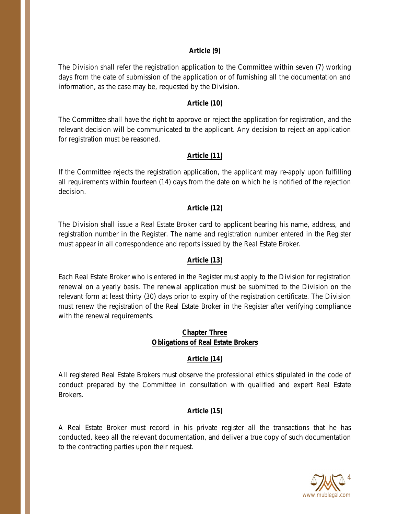#### **Article (9)**

The Division shall refer the registration application to the Committee within seven (7) working days from the date of submission of the application or of furnishing all the documentation and information, as the case may be, requested by the Division.

#### **Article (10)**

The Committee shall have the right to approve or reject the application for registration, and the relevant decision will be communicated to the applicant. Any decision to reject an application for registration must be reasoned.

### **Article (11)**

If the Committee rejects the registration application, the applicant may re-apply upon fulfilling all requirements within fourteen (14) days from the date on which he is notified of the rejection decision.

### **Article (12)**

The Division shall issue a Real Estate Broker card to applicant bearing his name, address, and registration number in the Register. The name and registration number entered in the Register must appear in all correspondence and reports issued by the Real Estate Broker.

### **Article (13)**

Each Real Estate Broker who is entered in the Register must apply to the Division for registration renewal on a yearly basis. The renewal application must be submitted to the Division on the relevant form at least thirty (30) days prior to expiry of the registration certificate. The Division must renew the registration of the Real Estate Broker in the Register after verifying compliance with the renewal requirements.

### **Chapter Three Obligations of Real Estate Brokers**

#### **Article (14)**

All registered Real Estate Brokers must observe the professional ethics stipulated in the code of conduct prepared by the Committee in consultation with qualified and expert Real Estate Brokers.

#### **Article (15)**

A Real Estate Broker must record in his private register all the transactions that he has conducted, keep all the relevant documentation, and deliver a true copy of such documentation to the contracting parties upon their request.

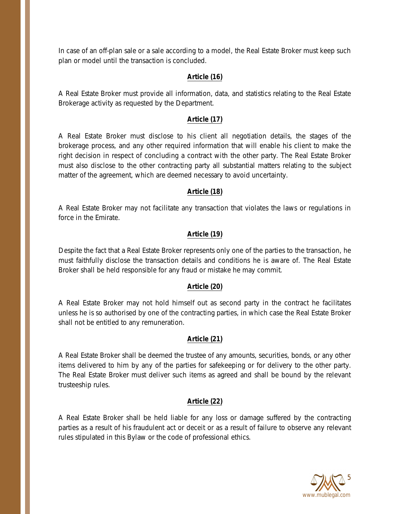In case of an off-plan sale or a sale according to a model, the Real Estate Broker must keep such plan or model until the transaction is concluded.

## **Article (16)**

A Real Estate Broker must provide all information, data, and statistics relating to the Real Estate Brokerage activity as requested by the Department.

### **Article (17)**

A Real Estate Broker must disclose to his client all negotiation details, the stages of the brokerage process, and any other required information that will enable his client to make the right decision in respect of concluding a contract with the other party. The Real Estate Broker must also disclose to the other contracting party all substantial matters relating to the subject matter of the agreement, which are deemed necessary to avoid uncertainty.

### **Article (18)**

A Real Estate Broker may not facilitate any transaction that violates the laws or regulations in force in the Emirate.

## **Article (19)**

Despite the fact that a Real Estate Broker represents only one of the parties to the transaction, he must faithfully disclose the transaction details and conditions he is aware of. The Real Estate Broker shall be held responsible for any fraud or mistake he may commit.

## **Article (20)**

A Real Estate Broker may not hold himself out as second party in the contract he facilitates unless he is so authorised by one of the contracting parties, in which case the Real Estate Broker shall not be entitled to any remuneration.

## **Article (21)**

A Real Estate Broker shall be deemed the trustee of any amounts, securities, bonds, or any other items delivered to him by any of the parties for safekeeping or for delivery to the other party. The Real Estate Broker must deliver such items as agreed and shall be bound by the relevant trusteeship rules.

## **Article (22)**

A Real Estate Broker shall be held liable for any loss or damage suffered by the contracting parties as a result of his fraudulent act or deceit or as a result of failure to observe any relevant rules stipulated in this Bylaw or the code of professional ethics.

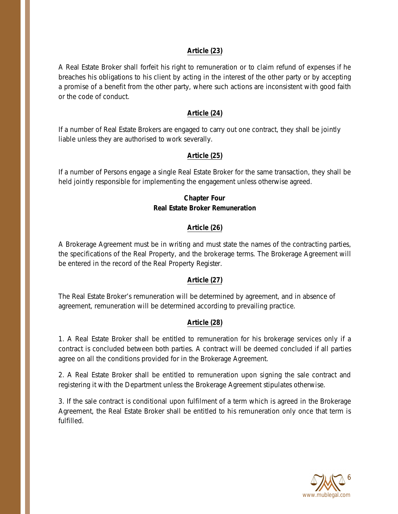#### **Article (23)**

A Real Estate Broker shall forfeit his right to remuneration or to claim refund of expenses if he breaches his obligations to his client by acting in the interest of the other party or by accepting a promise of a benefit from the other party, where such actions are inconsistent with good faith or the code of conduct.

#### **Article (24)**

If a number of Real Estate Brokers are engaged to carry out one contract, they shall be jointly liable unless they are authorised to work severally.

### **Article (25)**

If a number of Persons engage a single Real Estate Broker for the same transaction, they shall be held jointly responsible for implementing the engagement unless otherwise agreed.

# **Chapter Four Real Estate Broker Remuneration**

## **Article (26)**

A Brokerage Agreement must be in writing and must state the names of the contracting parties, the specifications of the Real Property, and the brokerage terms. The Brokerage Agreement will be entered in the record of the Real Property Register.

## **Article (27)**

The Real Estate Broker's remuneration will be determined by agreement, and in absence of agreement, remuneration will be determined according to prevailing practice.

## **Article (28)**

1. A Real Estate Broker shall be entitled to remuneration for his brokerage services only if a contract is concluded between both parties. A contract will be deemed concluded if all parties agree on all the conditions provided for in the Brokerage Agreement.

2. A Real Estate Broker shall be entitled to remuneration upon signing the sale contract and registering it with the Department unless the Brokerage Agreement stipulates otherwise.

3. If the sale contract is conditional upon fulfilment of a term which is agreed in the Brokerage Agreement, the Real Estate Broker shall be entitled to his remuneration only once that term is fulfilled.

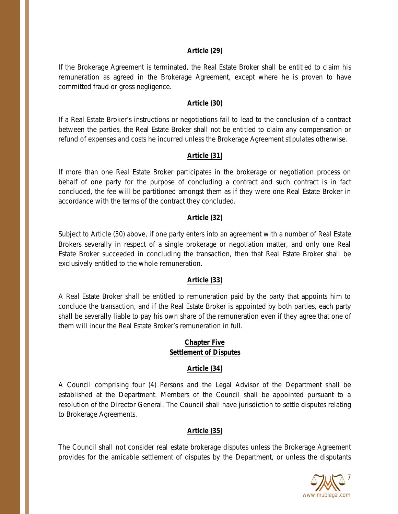#### **Article (29)**

If the Brokerage Agreement is terminated, the Real Estate Broker shall be entitled to claim his remuneration as agreed in the Brokerage Agreement, except where he is proven to have committed fraud or gross negligence.

#### **Article (30)**

If a Real Estate Broker's instructions or negotiations fail to lead to the conclusion of a contract between the parties, the Real Estate Broker shall not be entitled to claim any compensation or refund of expenses and costs he incurred unless the Brokerage Agreement stipulates otherwise.

#### **Article (31)**

If more than one Real Estate Broker participates in the brokerage or negotiation process on behalf of one party for the purpose of concluding a contract and such contract is in fact concluded, the fee will be partitioned amongst them as if they were one Real Estate Broker in accordance with the terms of the contract they concluded.

## **Article (32)**

Subject to Article (30) above, if one party enters into an agreement with a number of Real Estate Brokers severally in respect of a single brokerage or negotiation matter, and only one Real Estate Broker succeeded in concluding the transaction, then that Real Estate Broker shall be exclusively entitled to the whole remuneration.

#### **Article (33)**

A Real Estate Broker shall be entitled to remuneration paid by the party that appoints him to conclude the transaction, and if the Real Estate Broker is appointed by both parties, each party shall be severally liable to pay his own share of the remuneration even if they agree that one of them will incur the Real Estate Broker's remuneration in full.

### **Chapter Five Settlement of Disputes**

#### **Article (34)**

A Council comprising four (4) Persons and the Legal Advisor of the Department shall be established at the Department. Members of the Council shall be appointed pursuant to a resolution of the Director General. The Council shall have jurisdiction to settle disputes relating to Brokerage Agreements.

#### **Article (35)**

The Council shall not consider real estate brokerage disputes unless the Brokerage Agreement provides for the amicable settlement of disputes by the Department, or unless the disputants

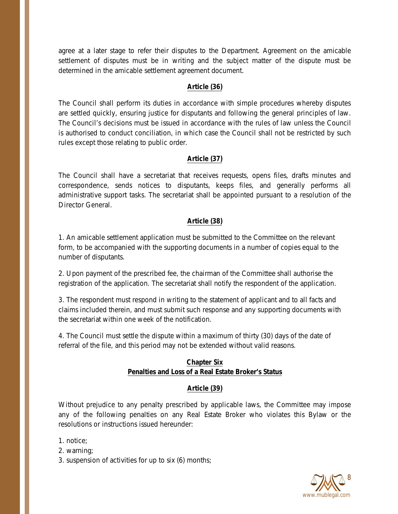agree at a later stage to refer their disputes to the Department. Agreement on the amicable settlement of disputes must be in writing and the subject matter of the dispute must be determined in the amicable settlement agreement document.

#### **Article (36)**

The Council shall perform its duties in accordance with simple procedures whereby disputes are settled quickly, ensuring justice for disputants and following the general principles of law. The Council's decisions must be issued in accordance with the rules of law unless the Council is authorised to conduct conciliation, in which case the Council shall not be restricted by such rules except those relating to public order.

## **Article (37)**

The Council shall have a secretariat that receives requests, opens files, drafts minutes and correspondence, sends notices to disputants, keeps files, and generally performs all administrative support tasks. The secretariat shall be appointed pursuant to a resolution of the Director General.

## **Article (38)**

1. An amicable settlement application must be submitted to the Committee on the relevant form, to be accompanied with the supporting documents in a number of copies equal to the number of disputants.

2. Upon payment of the prescribed fee, the chairman of the Committee shall authorise the registration of the application. The secretariat shall notify the respondent of the application.

3. The respondent must respond in writing to the statement of applicant and to all facts and claims included therein, and must submit such response and any supporting documents with the secretariat within one week of the notification.

4. The Council must settle the dispute within a maximum of thirty (30) days of the date of referral of the file, and this period may not be extended without valid reasons.

## **Chapter Six Penalties and Loss of a Real Estate Broker's Status**

# **Article (39)**

Without prejudice to any penalty prescribed by applicable laws, the Committee may impose any of the following penalties on any Real Estate Broker who violates this Bylaw or the resolutions or instructions issued hereunder:

1. notice;

2. warning;

3. suspension of activities for up to six (6) months;

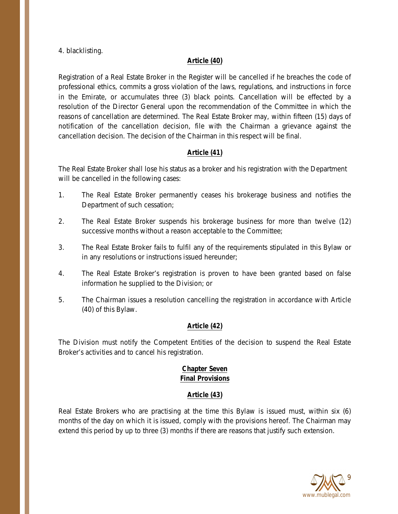4. blacklisting.

### **Article (40)**

Registration of a Real Estate Broker in the Register will be cancelled if he breaches the code of professional ethics, commits a gross violation of the laws, regulations, and instructions in force in the Emirate, or accumulates three (3) black points. Cancellation will be effected by a resolution of the Director General upon the recommendation of the Committee in which the reasons of cancellation are determined. The Real Estate Broker may, within fifteen (15) days of notification of the cancellation decision, file with the Chairman a grievance against the cancellation decision. The decision of the Chairman in this respect will be final.

## **Article (41)**

The Real Estate Broker shall lose his status as a broker and his registration with the Department will be cancelled in the following cases:

- 1. The Real Estate Broker permanently ceases his brokerage business and notifies the Department of such cessation;
- 2. The Real Estate Broker suspends his brokerage business for more than twelve (12) successive months without a reason acceptable to the Committee;
- 3. The Real Estate Broker fails to fulfil any of the requirements stipulated in this Bylaw or in any resolutions or instructions issued hereunder;
- 4. The Real Estate Broker's registration is proven to have been granted based on false information he supplied to the Division; or
- 5. The Chairman issues a resolution cancelling the registration in accordance with Article (40) of this Bylaw.

## **Article (42)**

The Division must notify the Competent Entities of the decision to suspend the Real Estate Broker's activities and to cancel his registration.

### **Chapter Seven Final Provisions**

## **Article (43)**

Real Estate Brokers who are practising at the time this Bylaw is issued must, within six (6) months of the day on which it is issued, comply with the provisions hereof. The Chairman may extend this period by up to three (3) months if there are reasons that justify such extension.